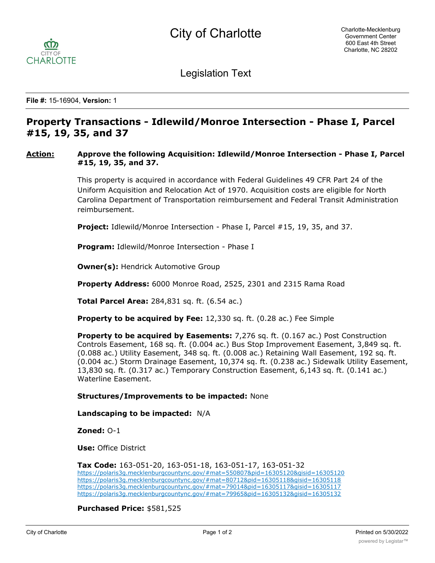

Legislation Text

**File #:** 15-16904, **Version:** 1

## **Property Transactions - Idlewild/Monroe Intersection - Phase I, Parcel #15, 19, 35, and 37**

## **Action: Approve the following Acquisition: Idlewild/Monroe Intersection - Phase I, Parcel #15, 19, 35, and 37.**

This property is acquired in accordance with Federal Guidelines 49 CFR Part 24 of the Uniform Acquisition and Relocation Act of 1970. Acquisition costs are eligible for North Carolina Department of Transportation reimbursement and Federal Transit Administration reimbursement.

**Project:** Idlewild/Monroe Intersection - Phase I, Parcel #15, 19, 35, and 37.

**Program:** Idlewild/Monroe Intersection - Phase I

**Owner(s): Hendrick Automotive Group** 

**Property Address:** 6000 Monroe Road, 2525, 2301 and 2315 Rama Road

**Total Parcel Area:** 284,831 sq. ft. (6.54 ac.)

**Property to be acquired by Fee:** 12,330 sq. ft. (0.28 ac.) Fee Simple

**Property to be acquired by Easements:** 7,276 sq. ft. (0.167 ac.) Post Construction Controls Easement, 168 sq. ft. (0.004 ac.) Bus Stop Improvement Easement, 3,849 sq. ft. (0.088 ac.) Utility Easement, 348 sq. ft. (0.008 ac.) Retaining Wall Easement, 192 sq. ft. (0.004 ac.) Storm Drainage Easement, 10,374 sq. ft. (0.238 ac.) Sidewalk Utility Easement, 13,830 sq. ft. (0.317 ac.) Temporary Construction Easement, 6,143 sq. ft. (0.141 ac.) Waterline Easement.

**Structures/Improvements to be impacted:** None

**Landscaping to be impacted:** N/A

**Zoned:** O-1

**Use:** Office District

**Tax Code:** 163-051-20, 163-051-18, 163-051-17, 163-051-32 https://polaris3g.mecklenburgcountync.gov/#mat=550807&pid=16305120&gisid=16305120 https://polaris3g.mecklenburgcountync.gov/#mat=80712&pid=16305118&gisid=16305118 https://polaris3g.mecklenburgcountync.gov/#mat=79014&pid=16305117&gisid=16305117 https://polaris3g.mecklenburgcountync.gov/#mat=79965&pid=16305132&gisid=16305132

**Purchased Price:** \$581,525